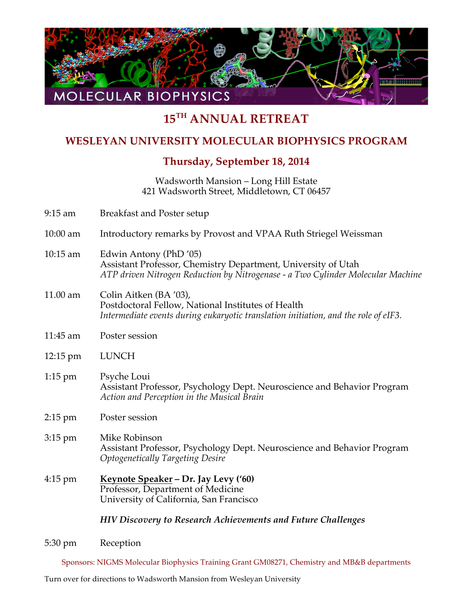

## **15TH ANNUAL RETREAT**

## **WESLEYAN UNIVERSITY MOLECULAR BIOPHYSICS PROGRAM**

## **Thursday, September 18, 2014**

Wadsworth Mansion – Long Hill Estate 421 Wadsworth Street, Middletown, CT 06457

| $9:15$ am          | <b>Breakfast and Poster setup</b>                                                                                                                                          |
|--------------------|----------------------------------------------------------------------------------------------------------------------------------------------------------------------------|
| $10:00$ am         | Introductory remarks by Provost and VPAA Ruth Striegel Weissman                                                                                                            |
| 10:15 am           | Edwin Antony (PhD '05)<br>Assistant Professor, Chemistry Department, University of Utah<br>ATP driven Nitrogen Reduction by Nitrogenase - a Two Cylinder Molecular Machine |
| $11.00$ am         | Colin Aitken (BA '03),<br>Postdoctoral Fellow, National Institutes of Health<br>Intermediate events during eukaryotic translation initiation, and the role of eIF3.        |
| 11:45 am           | Poster session                                                                                                                                                             |
| $12:15 \text{ pm}$ | <b>LUNCH</b>                                                                                                                                                               |
| $1:15$ pm          | Psyche Loui<br>Assistant Professor, Psychology Dept. Neuroscience and Behavior Program<br>Action and Perception in the Musical Brain                                       |
| $2:15$ pm          | Poster session                                                                                                                                                             |
| 3:15 pm            | Mike Robinson<br>Assistant Professor, Psychology Dept. Neuroscience and Behavior Program<br><b>Optogenetically Targeting Desire</b>                                        |
| $4:15 \text{ pm}$  | Keynote Speaker - Dr. Jay Levy ('60)<br>Professor, Department of Medicine<br>University of California, San Francisco                                                       |
|                    | <b>HIV Discovery to Research Achievements and Future Challenges</b>                                                                                                        |
|                    |                                                                                                                                                                            |

5:30 pm Reception

Sponsors: NIGMS Molecular Biophysics Training Grant GM08271, Chemistry and MB&B departments

Turn over for directions to Wadsworth Mansion from Wesleyan University